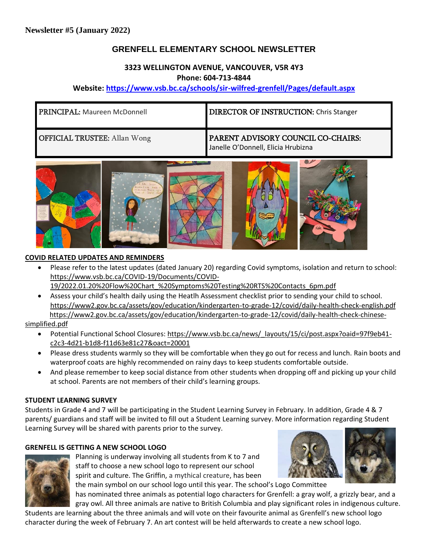# **GRENFELL ELEMENTARY SCHOOL NEWSLETTER**

## **3323 WELLINGTON AVENUE, VANCOUVER, V5R 4Y3 Phone: 604-713-4844**

## **Website: <https://www.vsb.bc.ca/schools/sir-wilfred-grenfell/Pages/default.aspx>**

| <b>PRINCIPAL: Maureen McDonnell</b> | <b>DIRECTOR OF INSTRUCTION: Chris Stanger</b>                            |
|-------------------------------------|--------------------------------------------------------------------------|
| <b>OFFICIAL TRUSTEE:</b> Allan Wong | PARENT ADVISORY COUNCIL CO-CHAIRS:<br>Janelle O'Donnell, Elicia Hrubizna |



### **COVID RELATED UPDATES AND REMINDERS**

- Please refer to the latest updates (dated January 20) regarding Covid symptoms, isolation and return to school: [https://www.vsb.bc.ca/COVID-19/Documents/COVID-](https://www.vsb.bc.ca/COVID-19/Documents/COVID-19/2022.01.20%20Flow%20Chart_%20Symptoms%20Testing%20RTS%20Contacts_6pm.pdf)[19/2022.01.20%20Flow%20Chart\\_%20Symptoms%20Testing%20RTS%20Contacts\\_6pm.pdf](https://www.vsb.bc.ca/COVID-19/Documents/COVID-19/2022.01.20%20Flow%20Chart_%20Symptoms%20Testing%20RTS%20Contacts_6pm.pdf)
- Assess your child's health daily using the Heatlh Assessment checklist prior to sending your child to school. <https://www2.gov.bc.ca/assets/gov/education/kindergarten-to-grade-12/covid/daily-health-check-english.pdf> [https://www2.gov.bc.ca/assets/gov/education/kindergarten-to-grade-12/covid/daily-health-check-chinese-](https://www2.gov.bc.ca/assets/gov/education/kindergarten-to-grade-12/covid/daily-health-check-chinese-simplified.pdf)

## [simplified.pdf](https://www2.gov.bc.ca/assets/gov/education/kindergarten-to-grade-12/covid/daily-health-check-chinese-simplified.pdf)

- Potential Functional School Closures[: https://www.vsb.bc.ca/news/\\_layouts/15/ci/post.aspx?oaid=97f9eb41](https://www.vsb.bc.ca/news/_layouts/15/ci/post.aspx?oaid=97f9eb41-c2c3-4d21-b1d8-f11d63e81c27&oact=20001) [c2c3-4d21-b1d8-f11d63e81c27&oact=20001](https://www.vsb.bc.ca/news/_layouts/15/ci/post.aspx?oaid=97f9eb41-c2c3-4d21-b1d8-f11d63e81c27&oact=20001)
- Please dress students warmly so they will be comfortable when they go out for recess and lunch. Rain boots and waterproof coats are highly recommended on rainy days to keep students comfortable outside.
- And please remember to keep social distance from other students when dropping off and picking up your child at school. Parents are not members of their child's learning groups.

## **STUDENT LEARNING SURVEY**

Students in Grade 4 and 7 will be participating in the Student Learning Survey in February. In addition, Grade 4 & 7 parents/ guardians and staff will be invited to fill out a Student Learning survey. More information regarding Student Learning Survey will be shared with parents prior to the survey.

## **GRENFELL IS GETTING A NEW SCHOOL LOGO**



Planning is underway involving all students from K to 7 and staff to choose a new school logo to represent our school spirit and culture. The Griffin, a mythical creature, has been the main symbol on our school logo until this year. The school's Logo Committee



has nominated three animals as potential logo characters for Grenfell: a gray wolf, a grizzly bear, and a gray owl. All three animals are native to British Columbia and play significant roles in indigenous culture.

Students are learning about the three animals and will vote on their favourite animal as Grenfell's new school logo character during the week of February 7. An art contest will be held afterwards to create a new school logo.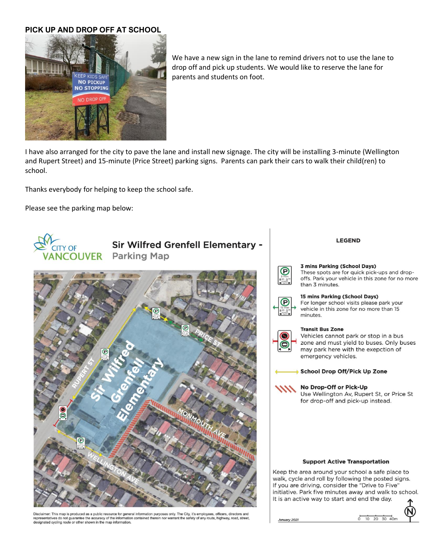### **PICK UP AND DROP OFF AT SCHOOL**



We have a new sign in the lane to remind drivers not to use the lane to drop off and pick up students. We would like to reserve the lane for parents and students on foot.

I have also arranged for the city to pave the lane and install new signage. The city will be installing 3-minute (Wellington and Rupert Street) and 15-minute (Price Street) parking signs. Parents can park their cars to walk their child(ren) to school.

Thanks everybody for helping to keep the school safe.

Please see the parking map below:



Disclaimer: This map is produced as a public resource for general information purposes only. The City, it's employees, officers, directors and<br>representatives do not guarantee the accuracy of the information contained ther Depresentatives do not guarantee the accuracy of the information<br>designated cycling route or other shown in the map information.

#### **LEGEND**



#### 3 mins Parking (School Days)

These spots are for quick pick-ups and dropoffs. Park your vehicle in this zone for no more than 3 minutes.



### 15 mins Parking (School Days)

For longer school visits please park your vehicle in this zone for no more than 15 minutes.



#### **Transit Bus Zone**

Vehicles cannot park or stop in a bus zone and must yield to buses. Only buses may park here with the exepction of emergency vehicles.

School Drop Off/Pick Up Zone

#### No Drop-Off or Pick-Up

Use Wellington Av, Rupert St, or Price St for drop-off and pick-up instead.

#### **Support Active Transportation**

Keep the area around your school a safe place to walk, cycle and roll by following the posted signs. If you are driving, consider the "Drive to Five" initiative. Park five minutes away and walk to school. It is an active way to start and end the day.

ary 2021

 $0$  10 20 30 40m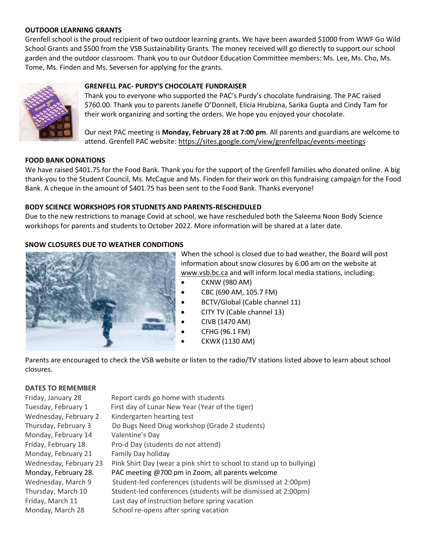### **OUTDOOR LEARNING GRANTS**

Grenfell school is the proud recipient of two outdoor learning grants. We have been awarded \$1000 from WWF Go Wild School Grants and \$500 from the VSB Sustainability Grants. The money received will go dierectly to support our school garden and the outdoor classroom. Thank you to our Outdoor Education Committee members: Ms. Lee, Ms. Cho, Ms. Tome, Ms. Finden and Ms. Seversen for applying for the grants.



### **GRENFELL PAC- PURDY'S CHOCOLATE FUNDRAISER**

Thank you to everyone who supported the PAC's Purdy's chocolate fundraising. The PAC raised \$760.00. Thank you to parents Janelle O'Donnell, Elicia Hrubizna, Sarika Gupta and Cindy Tam for their work organizing and sorting the orders. We hope you enjoyed your chocolate.

Our next PAC meeting is **Monday, February 28 at 7:00 pm**. All parents and guardians are welcome to attend. Grenfell PAC website:<https://sites.google.com/view/grenfellpac/events-meetings>

### **FOOD BANK DONATIONS**

We have raised \$401.75 for the Food Bank. Thank you for the support of the Grenfell families who donated online. A big thank-you to the Student Council, Ms. McCague and Ms. Finden for their work on this fundraising campaign for the Food Bank. A cheque in the amount of \$401.75 has been sent to the Food Bank. Thanks everyone!

### **BODY SCIENCE WORKSHOPS FOR STUDNETS AND PARENTS-RESCHEDULED**

Due to the new restrictions to manage Covid at school, we have rescheduled both the Saleema Noon Body Science workshops for parents and students to October 2022. More information will be shared at a later date.

### **SNOW CLOSURES DUE TO WEATHER CONDITIONS**



When the school is closed due to bad weather, the Board will post information about snow closures by 6:00 am on the website at [www.vsb.bc.ca](http://www.vsb.bc.ca/) and will inform local media stations, including:

- CKNW (980 AM)
- CBC (690 AM, 105.7 FM)
- BCTV/Global (Cable channel 11)
- CITY TV (Cable channel 13)
- CIVB (1470 AM)
- CFHG (96.1 FM)
- CKWX (1130 AM)

Parents are encouraged to check the VSB website or listen to the radio/TV stations listed above to learn about school closures.

### **DATES TO REMEMBER**

| Friday, January 28     | Report cards go home with students                                   |
|------------------------|----------------------------------------------------------------------|
| Tuesday, February 1    | First day of Lunar New Year (Year of the tiger)                      |
| Wednesday, February 2  | Kindergarten hearting test                                           |
| Thursday, February 3   | Do Bugs Need Drug workshop (Grade 2 students)                        |
| Monday, February 14    | Valentine's Day                                                      |
| Friday, February 18    | Pro-d Day (students do not attend)                                   |
| Monday, February 21    | Family Day holiday                                                   |
| Wednesday, February 23 | Pink Shirt Day (wear a pink shirt to school to stand up to bullying) |
| Monday, February 28.   | PAC meeting @700 pm in Zoom, all parents welcome                     |
| Wednesday, March 9     | Student-led conferences (students will be dismissed at 2:00pm)       |
| Thursday, March 10     | Student-led conferences (students will be dismissed at 2:00pm)       |
| Friday, March 11       | Last day of instruction before spring vacation                       |
| Monday, March 28       | School re-opens after spring vacation                                |
|                        |                                                                      |